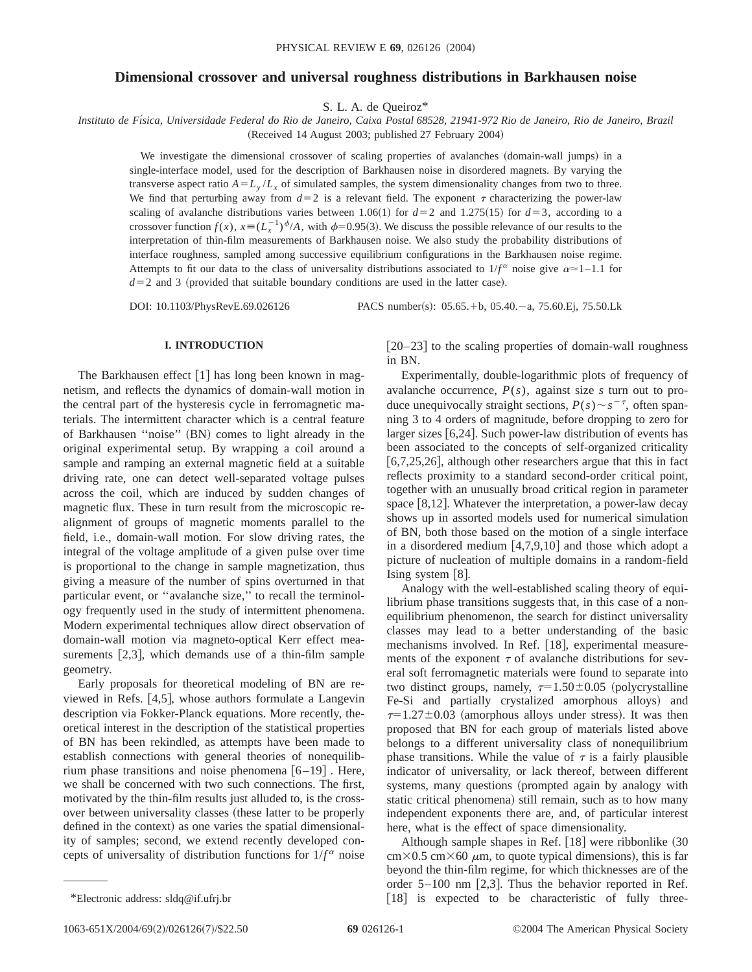# **Dimensional crossover and universal roughness distributions in Barkhausen noise**

S. L. A. de Queiroz\*

*Instituto de Fı´sica, Universidade Federal do Rio de Janeiro, Caixa Postal 68528, 21941-972 Rio de Janeiro, Rio de Janeiro, Brazil* (Received 14 August 2003; published 27 February 2004)

We investigate the dimensional crossover of scaling properties of avalanches (domain-wall jumps) in a single-interface model, used for the description of Barkhausen noise in disordered magnets. By varying the transverse aspect ratio  $A = L_y/L_y$  of simulated samples, the system dimensionality changes from two to three. We find that perturbing away from  $d=2$  is a relevant field. The exponent  $\tau$  characterizing the power-law scaling of avalanche distributions varies between 1.06(1) for  $d=2$  and 1.275(15) for  $d=3$ , according to a crossover function  $f(x)$ ,  $x \equiv (L_x^{-1})^{\phi}/A$ , with  $\phi = 0.95(3)$ . We discuss the possible relevance of our results to the interpretation of thin-film measurements of Barkhausen noise. We also study the probability distributions of interface roughness, sampled among successive equilibrium configurations in the Barkhausen noise regime. Attempts to fit our data to the class of universality distributions associated to  $1/f^{\alpha}$  noise give  $\alpha \approx 1-1.1$  for  $d=2$  and 3 (provided that suitable boundary conditions are used in the latter case).

DOI: 10.1103/PhysRevE.69.026126 PACS number(s): 05.65. + b, 05.40. - a, 75.60. Ej, 75.50. Lk

# **I. INTRODUCTION**

The Barkhausen effect  $[1]$  has long been known in magnetism, and reflects the dynamics of domain-wall motion in the central part of the hysteresis cycle in ferromagnetic materials. The intermittent character which is a central feature of Barkhausen "noise" (BN) comes to light already in the original experimental setup. By wrapping a coil around a sample and ramping an external magnetic field at a suitable driving rate, one can detect well-separated voltage pulses across the coil, which are induced by sudden changes of magnetic flux. These in turn result from the microscopic realignment of groups of magnetic moments parallel to the field, i.e., domain-wall motion. For slow driving rates, the integral of the voltage amplitude of a given pulse over time is proportional to the change in sample magnetization, thus giving a measure of the number of spins overturned in that particular event, or ''avalanche size,'' to recall the terminology frequently used in the study of intermittent phenomena. Modern experimental techniques allow direct observation of domain-wall motion via magneto-optical Kerr effect measurements  $[2,3]$ , which demands use of a thin-film sample geometry.

Early proposals for theoretical modeling of BN are reviewed in Refs.  $[4,5]$ , whose authors formulate a Langevin description via Fokker-Planck equations. More recently, theoretical interest in the description of the statistical properties of BN has been rekindled, as attempts have been made to establish connections with general theories of nonequilibrium phase transitions and noise phenomena  $[6-19]$ . Here, we shall be concerned with two such connections. The first, motivated by the thin-film results just alluded to, is the crossover between universality classes (these latter to be properly defined in the context) as one varies the spatial dimensionality of samples; second, we extend recently developed concepts of universality of distribution functions for  $1/f^{\alpha}$  noise

 $[20-23]$  to the scaling properties of domain-wall roughness in BN.

Experimentally, double-logarithmic plots of frequency of avalanche occurrence,  $P(s)$ , against size *s* turn out to produce unequivocally straight sections,  $P(s) \sim s^{-\tau}$ , often spanning 3 to 4 orders of magnitude, before dropping to zero for larger sizes  $[6,24]$ . Such power-law distribution of events has been associated to the concepts of self-organized criticality  $[6,7,25,26]$ , although other researchers argue that this in fact reflects proximity to a standard second-order critical point, together with an unusually broad critical region in parameter space  $[8,12]$ . Whatever the interpretation, a power-law decay shows up in assorted models used for numerical simulation of BN, both those based on the motion of a single interface in a disordered medium  $[4,7,9,10]$  and those which adopt a picture of nucleation of multiple domains in a random-field Ising system  $[8]$ .

Analogy with the well-established scaling theory of equilibrium phase transitions suggests that, in this case of a nonequilibrium phenomenon, the search for distinct universality classes may lead to a better understanding of the basic mechanisms involved. In Ref. [18], experimental measurements of the exponent  $\tau$  of avalanche distributions for several soft ferromagnetic materials were found to separate into two distinct groups, namely,  $\tau=1.50\pm0.05$  (polycrystalline Fe-Si and partially crystalized amorphous alloys) and  $\tau=1.27\pm0.03$  (amorphous alloys under stress). It was then proposed that BN for each group of materials listed above belongs to a different universality class of nonequilibrium phase transitions. While the value of  $\tau$  is a fairly plausible indicator of universality, or lack thereof, between different systems, many questions (prompted again by analogy with static critical phenomena) still remain, such as to how many independent exponents there are, and, of particular interest here, what is the effect of space dimensionality.

Although sample shapes in Ref.  $[18]$  were ribbonlike  $(30)$  $cm \times 0.5$  cm $\times 60$   $\mu$ m, to quote typical dimensions), this is far beyond the thin-film regime, for which thicknesses are of the order  $5-100$  nm [2,3]. Thus the behavior reported in Ref. \*Electronic address: sldq@if.ufrj.br [18] is expected to be characteristic of fully three-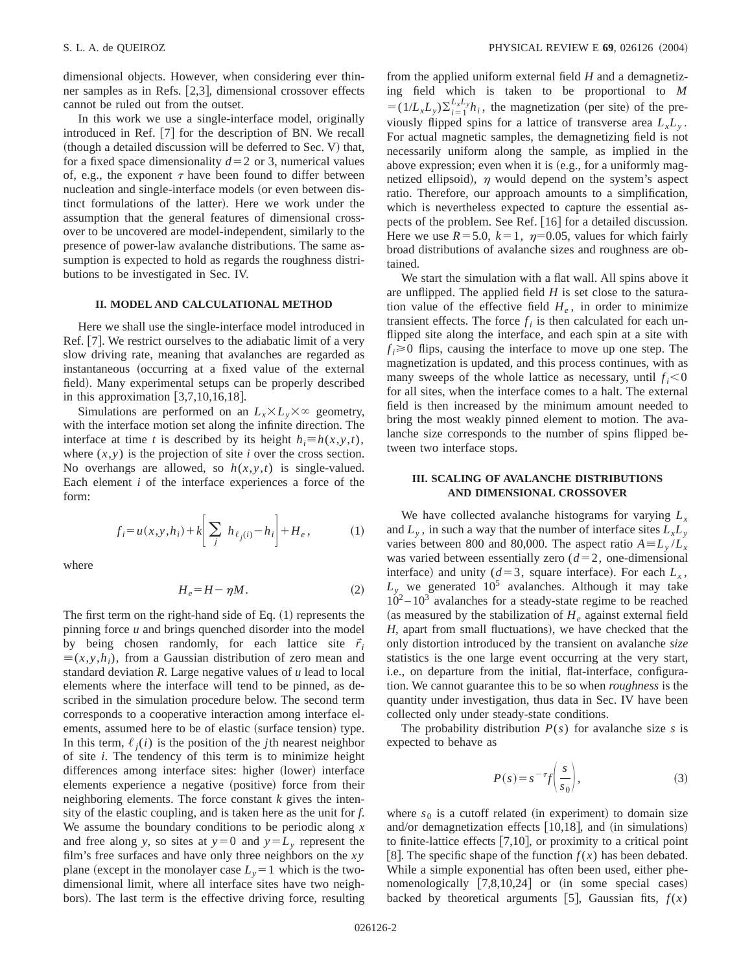dimensional objects. However, when considering ever thinner samples as in Refs.  $[2,3]$ , dimensional crossover effects cannot be ruled out from the outset.

In this work we use a single-interface model, originally introduced in Ref.  $[7]$  for the description of BN. We recall  $(t)$  (though a detailed discussion will be deferred to Sec. V) that, for a fixed space dimensionality  $d=2$  or 3, numerical values of, e.g., the exponent  $\tau$  have been found to differ between nucleation and single-interface models (or even between distinct formulations of the latter). Here we work under the assumption that the general features of dimensional crossover to be uncovered are model-independent, similarly to the presence of power-law avalanche distributions. The same assumption is expected to hold as regards the roughness distributions to be investigated in Sec. IV.

# **II. MODEL AND CALCULATIONAL METHOD**

Here we shall use the single-interface model introduced in Ref. [7]. We restrict ourselves to the adiabatic limit of a very slow driving rate, meaning that avalanches are regarded as instantaneous (occurring at a fixed value of the external field). Many experimental setups can be properly described in this approximation  $[3,7,10,16,18]$ .

Simulations are performed on an  $L_x \times L_y \times \infty$  geometry, with the interface motion set along the infinite direction. The interface at time *t* is described by its height  $h_i \equiv h(x, y, t)$ , where  $(x, y)$  is the projection of site *i* over the cross section. No overhangs are allowed, so  $h(x, y, t)$  is single-valued. Each element *i* of the interface experiences a force of the form:

$$
f_i = u(x, y, h_i) + k \left[ \sum_j h_{\ell_j(i)} - h_i \right] + H_e,
$$
 (1)

where

$$
H_e = H - \eta M. \tag{2}
$$

The first term on the right-hand side of Eq.  $(1)$  represents the pinning force *u* and brings quenched disorder into the model by being chosen randomly, for each lattice site  $\vec{r}_i$  $\equiv (x, y, h_i)$ , from a Gaussian distribution of zero mean and standard deviation *R*. Large negative values of *u* lead to local elements where the interface will tend to be pinned, as described in the simulation procedure below. The second term corresponds to a cooperative interaction among interface elements, assumed here to be of elastic (surface tension) type. In this term,  $\ell_i(i)$  is the position of the *j*th nearest neighbor of site *i*. The tendency of this term is to minimize height differences among interface sites: higher (lower) interface elements experience a negative (positive) force from their neighboring elements. The force constant *k* gives the intensity of the elastic coupling, and is taken here as the unit for *f*. We assume the boundary conditions to be periodic along *x* and free along *y*, so sites at  $y=0$  and  $y=L_y$  represent the film's free surfaces and have only three neighbors on the *xy* plane (except in the monolayer case  $L_y=1$  which is the twodimensional limit, where all interface sites have two neighbors). The last term is the effective driving force, resulting from the applied uniform external field *H* and a demagnetizing field which is taken to be proportional to *M*  $=(1/L_xL_y)\sum_{i=1}^{L_xL_y}h_i$ , the magnetization (per site) of the previously flipped spins for a lattice of transverse area  $L<sub>x</sub>L<sub>y</sub>$ . For actual magnetic samples, the demagnetizing field is not necessarily uniform along the sample, as implied in the above expression; even when it is  $(e.g., for a uniformly mag$ netized ellipsoid),  $\eta$  would depend on the system's aspect ratio. Therefore, our approach amounts to a simplification, which is nevertheless expected to capture the essential aspects of the problem. See Ref.  $[16]$  for a detailed discussion. Here we use  $R=5.0$ ,  $k=1$ ,  $\eta=0.05$ , values for which fairly broad distributions of avalanche sizes and roughness are obtained.

We start the simulation with a flat wall. All spins above it are unflipped. The applied field *H* is set close to the saturation value of the effective field  $H_e$ , in order to minimize transient effects. The force  $f_i$  is then calculated for each unflipped site along the interface, and each spin at a site with  $f_i \ge 0$  flips, causing the interface to move up one step. The magnetization is updated, and this process continues, with as many sweeps of the whole lattice as necessary, until  $f_i < 0$ for all sites, when the interface comes to a halt. The external field is then increased by the minimum amount needed to bring the most weakly pinned element to motion. The avalanche size corresponds to the number of spins flipped between two interface stops.

### **III. SCALING OF AVALANCHE DISTRIBUTIONS AND DIMENSIONAL CROSSOVER**

We have collected avalanche histograms for varying  $L<sub>x</sub>$ and  $L_v$ , in such a way that the number of interface sites  $L_x L_v$ varies between 800 and 80,000. The aspect ratio  $A = L_y / L_x$ was varied between essentially zero  $(d=2, 0)$  one-dimensional interface) and unity ( $d=3$ , square interface). For each  $L<sub>x</sub>$ ,  $L<sub>y</sub>$  we generated  $10<sup>5</sup>$  avalanches. Although it may take  $10^2 - 10^3$  avalanches for a steady-state regime to be reached (as measured by the stabilization of  $H_e$  against external field *H*, apart from small fluctuations), we have checked that the only distortion introduced by the transient on avalanche *size* statistics is the one large event occurring at the very start, i.e., on departure from the initial, flat-interface, configuration. We cannot guarantee this to be so when *roughness* is the quantity under investigation, thus data in Sec. IV have been collected only under steady-state conditions.

The probability distribution  $P(s)$  for avalanche size *s* is expected to behave as

$$
P(s) = s^{-\tau} f\left(\frac{s}{s_0}\right),\tag{3}
$$

where  $s_0$  is a cutoff related (in experiment) to domain size and/or demagnetization effects  $[10,18]$ , and  $(in simulations)$ to finite-lattice effects  $[7,10]$ , or proximity to a critical point [8]. The specific shape of the function  $f(x)$  has been debated. While a simple exponential has often been used, either phenomenologically  $[7,8,10,24]$  or (in some special cases) backed by theoretical arguments [5], Gaussian fits,  $f(x)$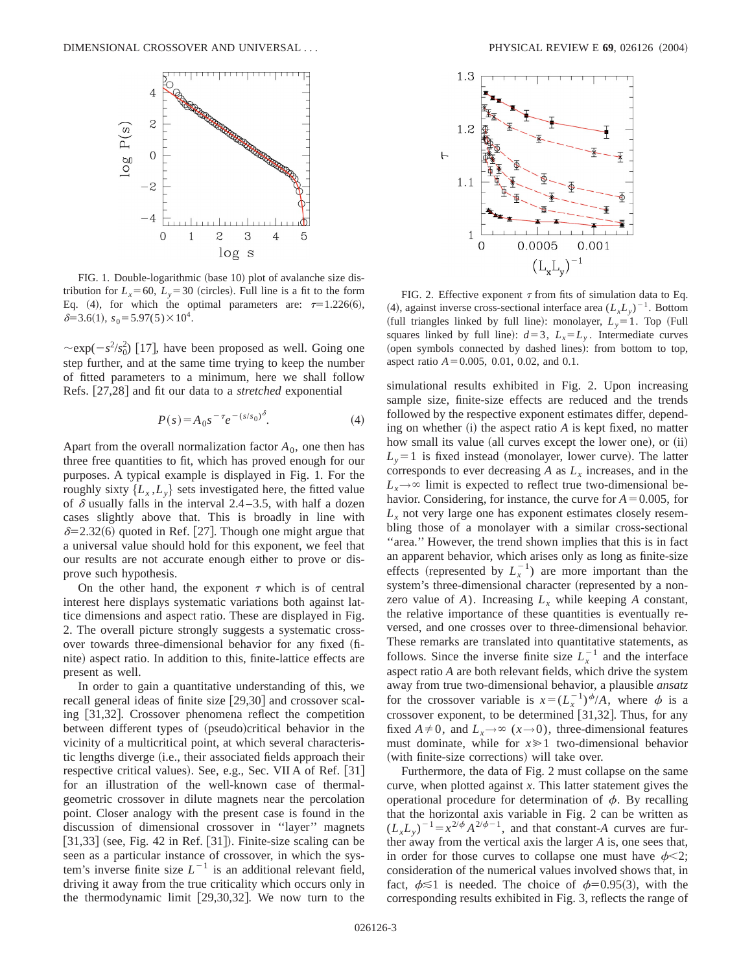

FIG. 1. Double-logarithmic (base 10) plot of avalanche size distribution for  $L<sub>x</sub>=60$ ,  $L<sub>y</sub>=30$  (circles). Full line is a fit to the form Eq. (4), for which the optimal parameters are:  $\tau=1.226(6)$ ,  $\delta=3.6(1), s_0=5.97(5)\times10^4.$ 

 $\sim \exp(-s^2/s_0^2)$  [17], have been proposed as well. Going one step further, and at the same time trying to keep the number of fitted parameters to a minimum, here we shall follow Refs. [27,28] and fit our data to a *stretched* exponential

$$
P(s) = A_0 s^{-\tau} e^{-(s/s_0)^{\delta}}.
$$
 (4)

Apart from the overall normalization factor  $A_0$ , one then has three free quantities to fit, which has proved enough for our purposes. A typical example is displayed in Fig. 1. For the roughly sixty  $\{L_x, L_y\}$  sets investigated here, the fitted value of  $\delta$  usually falls in the interval 2.4–3.5, with half a dozen cases slightly above that. This is broadly in line with  $\delta$ =2.32(6) quoted in Ref. [27]. Though one might argue that a universal value should hold for this exponent, we feel that our results are not accurate enough either to prove or disprove such hypothesis.

On the other hand, the exponent  $\tau$  which is of central interest here displays systematic variations both against lattice dimensions and aspect ratio. These are displayed in Fig. 2. The overall picture strongly suggests a systematic crossover towards three-dimensional behavior for any fixed (finite) aspect ratio. In addition to this, finite-lattice effects are present as well.

In order to gain a quantitative understanding of this, we recall general ideas of finite size  $[29,30]$  and crossover scaling [31,32]. Crossover phenomena reflect the competition between different types of (pseudo)critical behavior in the vicinity of a multicritical point, at which several characteristic lengths diverge (i.e., their associated fields approach their respective critical values). See, e.g., Sec. VII A of Ref. [31] for an illustration of the well-known case of thermalgeometric crossover in dilute magnets near the percolation point. Closer analogy with the present case is found in the discussion of dimensional crossover in ''layer'' magnets  $[31,33]$  (see, Fig. 42 in Ref. [31]). Finite-size scaling can be seen as a particular instance of crossover, in which the system's inverse finite size  $L^{-1}$  is an additional relevant field, driving it away from the true criticality which occurs only in the thermodynamic limit  $[29,30,32]$ . We now turn to the



FIG. 2. Effective exponent  $\tau$  from fits of simulation data to Eq. (4), against inverse cross-sectional interface area  $(L_xL_y)^{-1}$ . Bottom (full triangles linked by full line): monolayer,  $L_y = 1$ . Top (Full squares linked by full line):  $d=3$ ,  $L_x = L_y$ . Intermediate curves (open symbols connected by dashed lines): from bottom to top, aspect ratio  $A = 0.005$ , 0.01, 0.02, and 0.1.

simulational results exhibited in Fig. 2. Upon increasing sample size, finite-size effects are reduced and the trends followed by the respective exponent estimates differ, depending on whether  $(i)$  the aspect ratio  $A$  is kept fixed, no matter how small its value (all curves except the lower one), or (ii)  $L<sub>v</sub>=1$  is fixed instead (monolayer, lower curve). The latter corresponds to ever decreasing  $A$  as  $L<sub>x</sub>$  increases, and in the  $L_x \rightarrow \infty$  limit is expected to reflect true two-dimensional behavior. Considering, for instance, the curve for  $A=0.005$ , for  $L<sub>x</sub>$  not very large one has exponent estimates closely resembling those of a monolayer with a similar cross-sectional "area." However, the trend shown implies that this is in fact an apparent behavior, which arises only as long as finite-size effects (represented by  $L<sub>x</sub><sup>-1</sup>$ ) are more important than the system's three-dimensional character (represented by a nonzero value of  $A$ ). Increasing  $L<sub>x</sub>$  while keeping  $A$  constant, the relative importance of these quantities is eventually reversed, and one crosses over to three-dimensional behavior. These remarks are translated into quantitative statements, as follows. Since the inverse finite size  $L<sub>x</sub><sup>-1</sup>$  and the interface aspect ratio *A* are both relevant fields, which drive the system away from true two-dimensional behavior, a plausible *ansatz* for the crossover variable is  $x = (L_x^{-1})^{\phi}/A$ , where  $\phi$  is a crossover exponent, to be determined  $[31,32]$ . Thus, for any fixed  $A \neq 0$ , and  $L_x \rightarrow \infty$  ( $x \rightarrow 0$ ), three-dimensional features must dominate, while for  $x \ge 1$  two-dimensional behavior (with finite-size corrections) will take over.

Furthermore, the data of Fig. 2 must collapse on the same curve, when plotted against *x*. This latter statement gives the operational procedure for determination of  $\phi$ . By recalling that the horizontal axis variable in Fig. 2 can be written as  $(L_xL_y)^{-1} = x^{2/\phi} A^{2/\phi-1}$ , and that constant-*A* curves are further away from the vertical axis the larger *A* is, one sees that, in order for those curves to collapse one must have  $\phi$  < 2; consideration of the numerical values involved shows that, in fact,  $\phi \le 1$  is needed. The choice of  $\phi=0.95(3)$ , with the corresponding results exhibited in Fig. 3, reflects the range of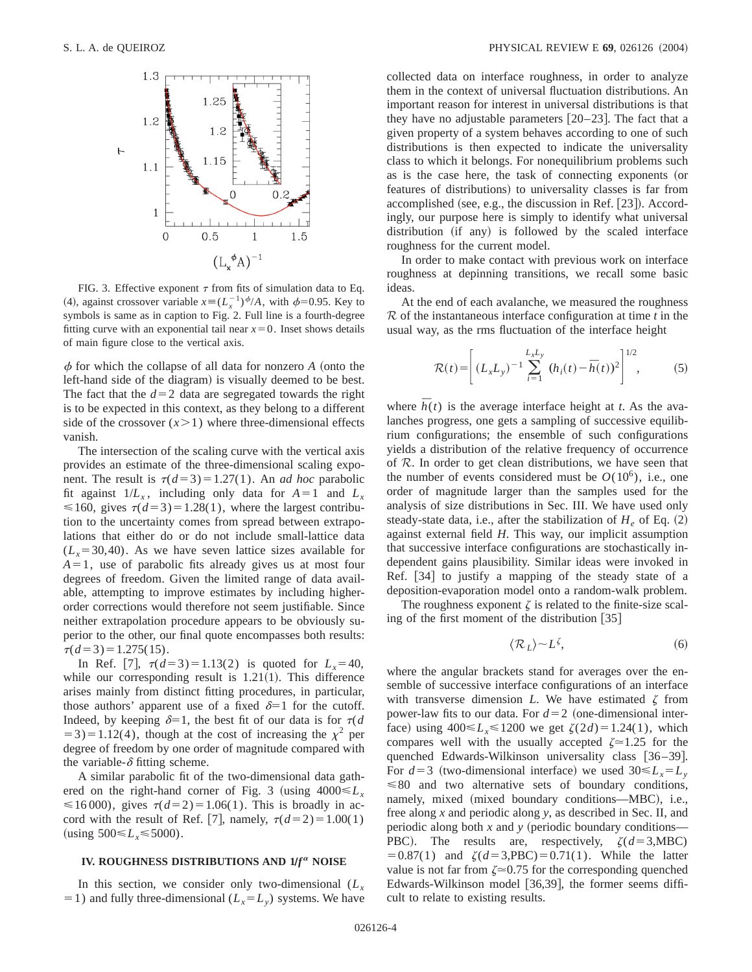

FIG. 3. Effective exponent  $\tau$  from fits of simulation data to Eq. (4), against crossover variable  $x = (L_x^{-1})^{\phi}/A$ , with  $\phi = 0.95$ . Key to symbols is same as in caption to Fig. 2. Full line is a fourth-degree fitting curve with an exponential tail near  $x=0$ . Inset shows details of main figure close to the vertical axis.

 $\phi$  for which the collapse of all data for nonzero  $A$  (onto the left-hand side of the diagram) is visually deemed to be best. The fact that the  $d=2$  data are segregated towards the right is to be expected in this context, as they belong to a different side of the crossover  $(x>1)$  where three-dimensional effects vanish.

The intersection of the scaling curve with the vertical axis provides an estimate of the three-dimensional scaling exponent. The result is  $\tau(d=3) = 1.27(1)$ . An *ad hoc* parabolic fit against  $1/L_x$ , including only data for  $A=1$  and  $L_x$  $\leq 160$ , gives  $\tau(d=3)=1.28(1)$ , where the largest contribution to the uncertainty comes from spread between extrapolations that either do or do not include small-lattice data  $(L<sub>x</sub>=30,40)$ . As we have seven lattice sizes available for  $A=1$ , use of parabolic fits already gives us at most four degrees of freedom. Given the limited range of data available, attempting to improve estimates by including higherorder corrections would therefore not seem justifiable. Since neither extrapolation procedure appears to be obviously superior to the other, our final quote encompasses both results:  $\tau(d=3)=1.275(15).$ 

In Ref. [7],  $\tau(d=3) = 1.13(2)$  is quoted for  $L_x = 40$ , while our corresponding result is  $1.21(1)$ . This difference arises mainly from distinct fitting procedures, in particular, those authors' apparent use of a fixed  $\delta=1$  for the cutoff. Indeed, by keeping  $\delta=1$ , the best fit of our data is for  $\tau(d)$  $(53) = 1.12(4)$ , though at the cost of increasing the  $\chi^2$  per degree of freedom by one order of magnitude compared with the variable- $\delta$  fitting scheme.

A similar parabolic fit of the two-dimensional data gathered on the right-hand corner of Fig. 3 (using  $4000 \leq L_x$ )  $\leq 16000$ , gives  $\tau(d=2) = 1.06(1)$ . This is broadly in accord with the result of Ref. [7], namely,  $\tau(d=2)=1.00(1)$  $({\rm using } 500 \le L_{\rm x} \le 5000).$ 

#### **IV. ROUGHNESS DISTRIBUTIONS AND 1/** $f^{\alpha}$  **NOISE**

In this section, we consider only two-dimensional  $(L<sub>x</sub>)$  $=1$ ) and fully three-dimensional ( $L_x = L_y$ ) systems. We have collected data on interface roughness, in order to analyze them in the context of universal fluctuation distributions. An important reason for interest in universal distributions is that they have no adjustable parameters  $[20-23]$ . The fact that a given property of a system behaves according to one of such distributions is then expected to indicate the universality class to which it belongs. For nonequilibrium problems such as is the case here, the task of connecting exponents (or features of distributions) to universality classes is far from accomplished (see, e.g., the discussion in Ref.  $[23]$ ). Accordingly, our purpose here is simply to identify what universal distribution (if any) is followed by the scaled interface roughness for the current model.

In order to make contact with previous work on interface roughness at depinning transitions, we recall some basic ideas.

At the end of each avalanche, we measured the roughness R of the instantaneous interface configuration at time *t* in the usual way, as the rms fluctuation of the interface height

$$
\mathcal{R}(t) = \left[ (L_x L_y)^{-1} \sum_{i=1}^{L_x L_y} (h_i(t) - \overline{h}(t))^2 \right]^{1/2},
$$
 (5)

where  $\bar{h}(t)$  is the average interface height at *t*. As the avalanches progress, one gets a sampling of successive equilibrium configurations; the ensemble of such configurations yields a distribution of the relative frequency of occurrence of R. In order to get clean distributions, we have seen that the number of events considered must be  $O(10^6)$ , i.e., one order of magnitude larger than the samples used for the analysis of size distributions in Sec. III. We have used only steady-state data, i.e., after the stabilization of  $H_e$  of Eq.  $(2)$ against external field *H*. This way, our implicit assumption that successive interface configurations are stochastically independent gains plausibility. Similar ideas were invoked in Ref.  $[34]$  to justify a mapping of the steady state of a deposition-evaporation model onto a random-walk problem.

The roughness exponent  $\zeta$  is related to the finite-size scaling of the first moment of the distribution  $\lceil 35 \rceil$ 

$$
\langle \mathcal{R}_L \rangle \sim L^{\zeta},\tag{6}
$$

where the angular brackets stand for averages over the ensemble of successive interface configurations of an interface with transverse dimension *L*. We have estimated  $\zeta$  from power-law fits to our data. For  $d=2$  (one-dimensional interface) using  $400 \le L_{r} \le 1200$  we get  $\zeta(2d) = 1.24(1)$ , which compares well with the usually accepted  $\zeta \approx 1.25$  for the quenched Edwards-Wilkinson universality class  $[36-39]$ . For  $d=3$  (two-dimensional interface) we used  $30 \le L_x = L_y$  $\leq 80$  and two alternative sets of boundary conditions, namely, mixed (mixed boundary conditions—MBC), i.e., free along *x* and periodic along *y*, as described in Sec. II, and periodic along both  $x$  and  $y$  (periodic boundary conditions— PBC). The results are, respectively,  $\zeta(d=3,\text{MBC})$  $= 0.87(1)$  and  $\zeta(d=3, PBC) = 0.71(1)$ . While the latter value is not far from  $\zeta \approx 0.75$  for the corresponding quenched Edwards-Wilkinson model  $[36,39]$ , the former seems difficult to relate to existing results.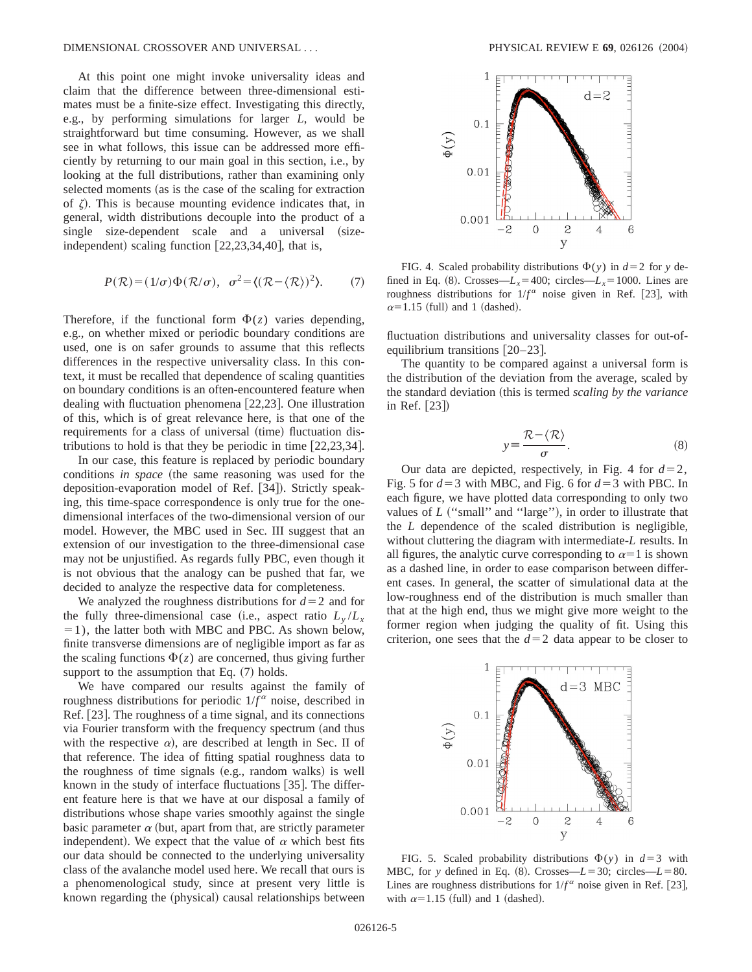At this point one might invoke universality ideas and claim that the difference between three-dimensional estimates must be a finite-size effect. Investigating this directly, e.g., by performing simulations for larger *L*, would be straightforward but time consuming. However, as we shall see in what follows, this issue can be addressed more efficiently by returning to our main goal in this section, i.e., by looking at the full distributions, rather than examining only selected moments (as is the case of the scaling for extraction of  $\zeta$ ). This is because mounting evidence indicates that, in general, width distributions decouple into the product of a single size-dependent scale and a universal (sizeindependent) scaling function  $[22,23,34,40]$ , that is,

$$
P(\mathcal{R}) = (1/\sigma)\Phi(\mathcal{R}/\sigma), \quad \sigma^2 = \langle (\mathcal{R} - \langle \mathcal{R} \rangle)^2 \rangle. \tag{7}
$$

Therefore, if the functional form  $\Phi(z)$  varies depending, e.g., on whether mixed or periodic boundary conditions are used, one is on safer grounds to assume that this reflects differences in the respective universality class. In this context, it must be recalled that dependence of scaling quantities on boundary conditions is an often-encountered feature when dealing with fluctuation phenomena  $[22,23]$ . One illustration of this, which is of great relevance here, is that one of the requirements for a class of universal (time) fluctuation distributions to hold is that they be periodic in time  $[22,23,34]$ .

In our case, this feature is replaced by periodic boundary conditions *in space* (the same reasoning was used for the deposition-evaporation model of Ref. [34]). Strictly speaking, this time-space correspondence is only true for the onedimensional interfaces of the two-dimensional version of our model. However, the MBC used in Sec. III suggest that an extension of our investigation to the three-dimensional case may not be unjustified. As regards fully PBC, even though it is not obvious that the analogy can be pushed that far, we decided to analyze the respective data for completeness.

We analyzed the roughness distributions for  $d=2$  and for the fully three-dimensional case (i.e., aspect ratio  $L_v/L_x$  $=1$ ), the latter both with MBC and PBC. As shown below, finite transverse dimensions are of negligible import as far as the scaling functions  $\Phi(z)$  are concerned, thus giving further support to the assumption that Eq.  $(7)$  holds.

We have compared our results against the family of roughness distributions for periodic  $1/f^{\alpha}$  noise, described in Ref. [23]. The roughness of a time signal, and its connections via Fourier transform with the frequency spectrum (and thus with the respective  $\alpha$ ), are described at length in Sec. II of that reference. The idea of fitting spatial roughness data to the roughness of time signals  $(e.g., \text{ random walks})$  is well known in the study of interface fluctuations  $[35]$ . The different feature here is that we have at our disposal a family of distributions whose shape varies smoothly against the single basic parameter  $\alpha$  (but, apart from that, are strictly parameter independent). We expect that the value of  $\alpha$  which best fits our data should be connected to the underlying universality class of the avalanche model used here. We recall that ours is a phenomenological study, since at present very little is known regarding the (physical) causal relationships between



FIG. 4. Scaled probability distributions  $\Phi(y)$  in  $d=2$  for *y* defined in Eq. (8). Crosses— $L_x$ =400; circles— $L_x$ =1000. Lines are roughness distributions for  $1/f^{\alpha}$  noise given in Ref. [23], with  $\alpha$ =1.15 (full) and 1 (dashed).

fluctuation distributions and universality classes for out-ofequilibrium transitions  $[20-23]$ .

The quantity to be compared against a universal form is the distribution of the deviation from the average, scaled by the standard deviation (this is termed *scaling by the variance* in Ref.  $[23]$ 

$$
y = \frac{\mathcal{R} - \langle \mathcal{R} \rangle}{\sigma}.
$$
 (8)

Our data are depicted, respectively, in Fig. 4 for  $d=2$ , Fig. 5 for  $d=3$  with MBC, and Fig. 6 for  $d=3$  with PBC. In each figure, we have plotted data corresponding to only two values of *L* ("small" and "large"), in order to illustrate that the *L* dependence of the scaled distribution is negligible, without cluttering the diagram with intermediate-*L* results. In all figures, the analytic curve corresponding to  $\alpha=1$  is shown as a dashed line, in order to ease comparison between different cases. In general, the scatter of simulational data at the low-roughness end of the distribution is much smaller than that at the high end, thus we might give more weight to the former region when judging the quality of fit. Using this criterion, one sees that the  $d=2$  data appear to be closer to



FIG. 5. Scaled probability distributions  $\Phi(y)$  in  $d=3$  with MBC, for *y* defined in Eq. (8). Crosses— $L = 30$ ; circles— $L = 80$ . Lines are roughness distributions for  $1/f^{\alpha}$  noise given in Ref. [23], with  $\alpha=1.15$  (full) and 1 (dashed).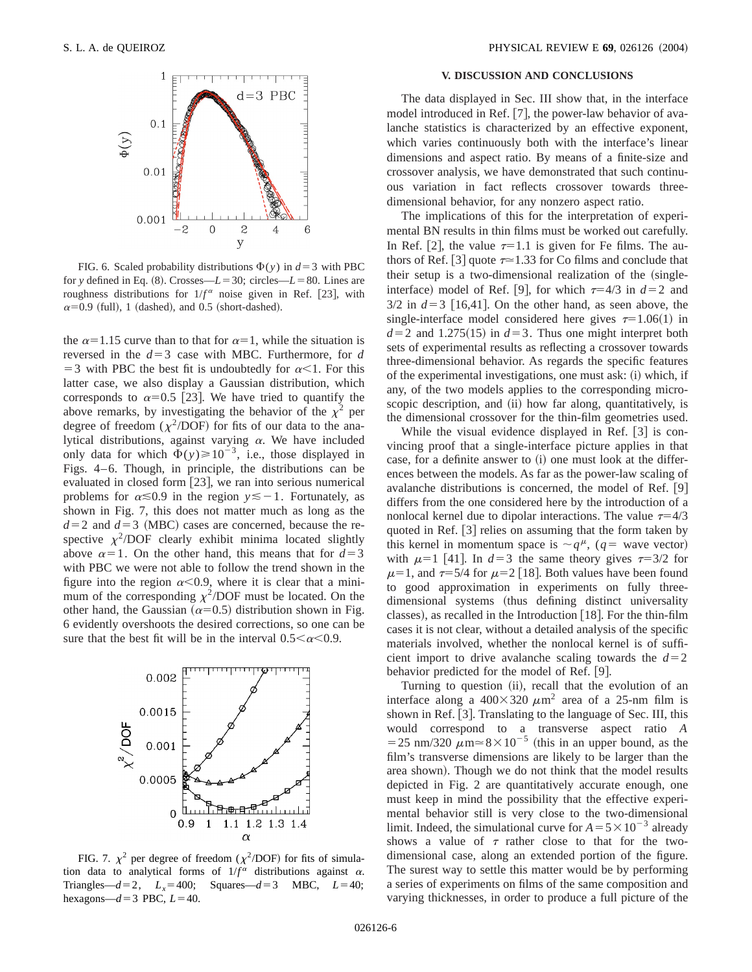

FIG. 6. Scaled probability distributions  $\Phi(y)$  in  $d=3$  with PBC for *y* defined in Eq. (8). Crosses— $L = 30$ ; circles— $L = 80$ . Lines are roughness distributions for  $1/f^{\alpha}$  noise given in Ref. [23], with  $\alpha$ =0.9 (full), 1 (dashed), and 0.5 (short-dashed).

the  $\alpha$ =1.15 curve than to that for  $\alpha$ =1, while the situation is reversed in the  $d=3$  case with MBC. Furthermore, for  $d$ = 3 with PBC the best fit is undoubtedly for  $\alpha$ <1. For this latter case, we also display a Gaussian distribution, which corresponds to  $\alpha=0.5$  [23]. We have tried to quantify the above remarks, by investigating the behavior of the  $\chi^2$  per degree of freedom ( $\chi^2$ /DOF) for fits of our data to the analytical distributions, against varying  $\alpha$ . We have included only data for which  $\Phi(y) \ge 10^{-3}$ , i.e., those displayed in Figs. 4–6. Though, in principle, the distributions can be evaluated in closed form  $[23]$ , we ran into serious numerical problems for  $\alpha \le 0.9$  in the region  $y \le -1$ . Fortunately, as shown in Fig. 7, this does not matter much as long as the  $d=2$  and  $d=3$  (MBC) cases are concerned, because the respective  $\chi^2$ /DOF clearly exhibit minima located slightly above  $\alpha=1$ . On the other hand, this means that for  $d=3$ with PBC we were not able to follow the trend shown in the figure into the region  $\alpha$ <0.9, where it is clear that a minimum of the corresponding  $\chi^2$ /DOF must be located. On the other hand, the Gaussian ( $\alpha$ =0.5) distribution shown in Fig. 6 evidently overshoots the desired corrections, so one can be sure that the best fit will be in the interval  $0.5<\alpha<0.9$ .



FIG. 7.  $\chi^2$  per degree of freedom ( $\chi^2$ /DOF) for fits of simulation data to analytical forms of  $1/f^{\alpha}$  distributions against  $\alpha$ . Triangles— $d=2$ ,  $L_x=400$ ; Squares— $d=3$  MBC,  $L=40$ ; hexagons— $d=3$  PBC,  $L=40$ .

# **V. DISCUSSION AND CONCLUSIONS**

The data displayed in Sec. III show that, in the interface model introduced in Ref. [7], the power-law behavior of avalanche statistics is characterized by an effective exponent, which varies continuously both with the interface's linear dimensions and aspect ratio. By means of a finite-size and crossover analysis, we have demonstrated that such continuous variation in fact reflects crossover towards threedimensional behavior, for any nonzero aspect ratio.

The implications of this for the interpretation of experimental BN results in thin films must be worked out carefully. In Ref. [2], the value  $\tau=1.1$  is given for Fe films. The authors of Ref. [3] quote  $\tau \approx 1.33$  for Co films and conclude that their setup is a two-dimensional realization of the (singleinterface) model of Ref. [9], for which  $\tau=4/3$  in  $d=2$  and  $3/2$  in  $d=3$  [16,41]. On the other hand, as seen above, the single-interface model considered here gives  $\tau=1.06(1)$  in  $d=2$  and 1.275(15) in  $d=3$ . Thus one might interpret both sets of experimental results as reflecting a crossover towards three-dimensional behavior. As regards the specific features of the experimental investigations, one must ask:  $(i)$  which, if any, of the two models applies to the corresponding microscopic description, and (ii) how far along, quantitatively, is the dimensional crossover for the thin-film geometries used.

While the visual evidence displayed in Ref.  $\lceil 3 \rceil$  is convincing proof that a single-interface picture applies in that case, for a definite answer to (i) one must look at the differences between the models. As far as the power-law scaling of avalanche distributions is concerned, the model of Ref.  $|9|$ differs from the one considered here by the introduction of a nonlocal kernel due to dipolar interactions. The value  $\tau=4/3$ quoted in Ref.  $\vert 3 \vert$  relies on assuming that the form taken by this kernel in momentum space is  $\sim q^{\mu}$ , (*q* = wave vector) with  $\mu=1$  [41]. In  $d=3$  the same theory gives  $\tau=3/2$  for  $\mu$ =1, and  $\tau$ =5/4 for  $\mu$ =2 [18]. Both values have been found to good approximation in experiments on fully threedimensional systems (thus defining distinct universality classes), as recalled in the Introduction  $[18]$ . For the thin-film cases it is not clear, without a detailed analysis of the specific materials involved, whether the nonlocal kernel is of sufficient import to drive avalanche scaling towards the  $d=2$ behavior predicted for the model of Ref. [9].

Turning to question (ii), recall that the evolution of an interface along a  $400\times320 \ \mu \text{m}^2$  area of a 25-nm film is shown in Ref. [3]. Translating to the language of Sec. III, this would correspond to a transverse aspect ratio *A* = 25 nm/320  $\mu$ m $\simeq$  8  $\times$  10<sup>-5</sup> (this in an upper bound, as the film's transverse dimensions are likely to be larger than the area shown). Though we do not think that the model results depicted in Fig. 2 are quantitatively accurate enough, one must keep in mind the possibility that the effective experimental behavior still is very close to the two-dimensional limit. Indeed, the simulational curve for  $A = 5 \times 10^{-3}$  already shows a value of  $\tau$  rather close to that for the twodimensional case, along an extended portion of the figure. The surest way to settle this matter would be by performing a series of experiments on films of the same composition and varying thicknesses, in order to produce a full picture of the